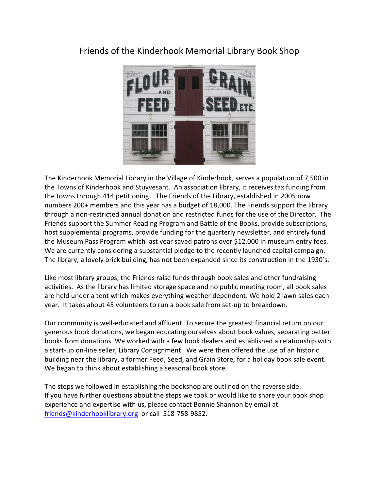## Friends of the Kinderhook Memorial Library Book Shop

The Kinderhook Memorial Library in the Village of Kinderhook, serves a population of 7,500 in the Towns of Kinderhook and Stuyvesant. An association library, it receives tax funding from the towns through 414 petitioning. The Friends of the Library, established in 2005 now numbers 200+ members and this year has a budget of 18,000. The Friends support the library through a non-restricted annual donation and restricted funds for the use of the Director. The Friends support the Summer Reading Program and Battle of the Books, provide subscriptions, host supplemental programs, provide funding for the quarterly newsletter, and entirely fund the Museum Pass Program which last year saved patrons over \$12,000 in museum entry fees. We are currently considering a substantial pledge to the recently launched capital campaign. The library, a lovely brick building, has not been expanded since its construction in the 1930's.

Like most library groups, the Friends raise funds through book sales and other fundraising activities. As the library has limited storage space and no public meeting room, all book sales are held under a tent which makes everything weather dependent. We hold 2 lawn sales each year. It takes about 45 volunteers to run a book sale from set-up to breakdown.

Our community is well-educated and affluent. To secure the greatest financial return on our generous book donations, we began educating ourselves about book values, separating better books from donations. We worked with a few book dealers and established a relationship with a start-up on-line seller, Library Consignment. We were then offered the use of an historic building near the library, a former Feed, Seed, and Grain Store, for a holiday book sale event. We began to think about establishing a seasonal book store.

The steps we followed in establishing the bookshop are outlined on the reverse side. If you have further questions about the steps we took or would like to share your book shop experience and expertise with us, please contact Bonnie Shannon by email at [friends@kinderhooklibrary.org](file:///|//friends@kinderhooklibrary.org) or call 518-758-9852.